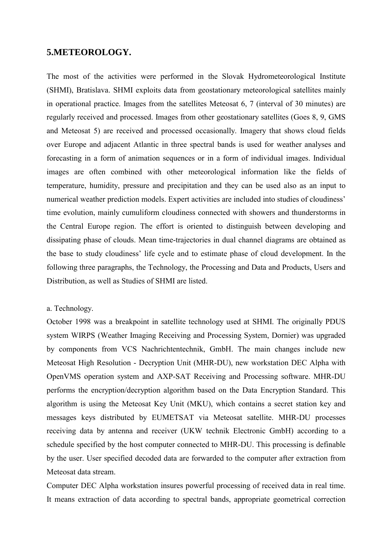# **5.METEOROLOGY.**

The most of the activities were performed in the Slovak Hydrometeorological Institute (SHMI), Bratislava. SHMI exploits data from geostationary meteorological satellites mainly in operational practice. Images from the satellites Meteosat 6, 7 (interval of 30 minutes) are regularly received and processed. Images from other geostationary satellites (Goes 8, 9, GMS and Meteosat 5) are received and processed occasionally. Imagery that shows cloud fields over Europe and adjacent Atlantic in three spectral bands is used for weather analyses and forecasting in a form of animation sequences or in a form of individual images. Individual images are often combined with other meteorological information like the fields of temperature, humidity, pressure and precipitation and they can be used also as an input to numerical weather prediction models. Expert activities are included into studies of cloudiness' time evolution, mainly cumuliform cloudiness connected with showers and thunderstorms in the Central Europe region. The effort is oriented to distinguish between developing and dissipating phase of clouds. Mean time-trajectories in dual channel diagrams are obtained as the base to study cloudiness' life cycle and to estimate phase of cloud development. In the following three paragraphs, the Technology, the Processing and Data and Products, Users and Distribution, as well as Studies of SHMI are listed.

### a. Technology.

October 1998 was a breakpoint in satellite technology used at SHMI. The originally PDUS system WIRPS (Weather Imaging Receiving and Processing System, Dornier) was upgraded by components from VCS Nachrichtentechnik, GmbH. The main changes include new Meteosat High Resolution - Decryption Unit (MHR-DU), new workstation DEC Alpha with OpenVMS operation system and AXP-SAT Receiving and Processing software. MHR-DU performs the encryption/decryption algorithm based on the Data Encryption Standard. This algorithm is using the Meteosat Key Unit (MKU), which contains a secret station key and messages keys distributed by EUMETSAT via Meteosat satellite. MHR-DU processes receiving data by antenna and receiver (UKW technik Electronic GmbH) according to a schedule specified by the host computer connected to MHR-DU. This processing is definable by the user. User specified decoded data are forwarded to the computer after extraction from Meteosat data stream.

Computer DEC Alpha workstation insures powerful processing of received data in real time. It means extraction of data according to spectral bands, appropriate geometrical correction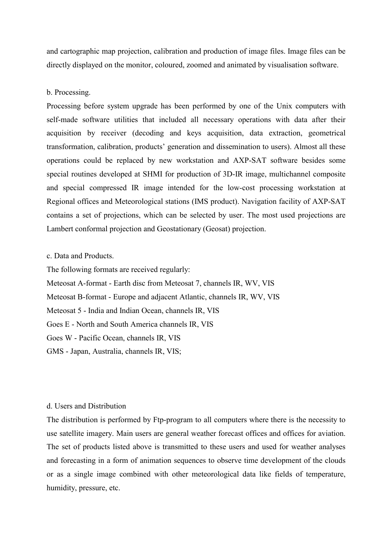and cartographic map projection, calibration and production of image files. Image files can be directly displayed on the monitor, coloured, zoomed and animated by visualisation software.

### b. Processing.

Processing before system upgrade has been performed by one of the Unix computers with self-made software utilities that included all necessary operations with data after their acquisition by receiver (decoding and keys acquisition, data extraction, geometrical transformation, calibration, products' generation and dissemination to users). Almost all these operations could be replaced by new workstation and AXP-SAT software besides some special routines developed at SHMI for production of 3D-IR image, multichannel composite and special compressed IR image intended for the low-cost processing workstation at Regional offices and Meteorological stations (IMS product). Navigation facility of AXP-SAT contains a set of projections, which can be selected by user. The most used projections are Lambert conformal projection and Geostationary (Geosat) projection.

## c. Data and Products.

The following formats are received regularly: Meteosat A-format - Earth disc from Meteosat 7, channels IR, WV, VIS Meteosat B-format - Europe and adjacent Atlantic, channels IR, WV, VIS Meteosat 5 - India and Indian Ocean, channels IR, VIS Goes E - North and South America channels IR, VIS Goes W - Pacific Ocean, channels IR, VIS GMS - Japan, Australia, channels IR, VIS;

### d. Users and Distribution

The distribution is performed by Ftp-program to all computers where there is the necessity to use satellite imagery. Main users are general weather forecast offices and offices for aviation. The set of products listed above is transmitted to these users and used for weather analyses and forecasting in a form of animation sequences to observe time development of the clouds or as a single image combined with other meteorological data like fields of temperature, humidity, pressure, etc.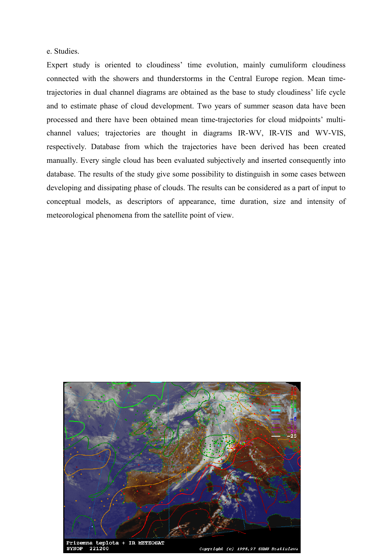### e. Studies.

Expert study is oriented to cloudiness' time evolution, mainly cumuliform cloudiness connected with the showers and thunderstorms in the Central Europe region. Mean timetrajectories in dual channel diagrams are obtained as the base to study cloudiness' life cycle and to estimate phase of cloud development. Two years of summer season data have been processed and there have been obtained mean time-trajectories for cloud midpoints' multichannel values; trajectories are thought in diagrams IR-WV, IR-VIS and WV-VIS, respectively. Database from which the trajectories have been derived has been created manually. Every single cloud has been evaluated subjectively and inserted consequently into database. The results of the study give some possibility to distinguish in some cases between developing and dissipating phase of clouds. The results can be considered as a part of input to conceptual models, as descriptors of appearance, time duration, size and intensity of meteorological phenomena from the satellite point of view.



Prizemna teplota + IR METEOSAT 221200 evn∩p

SHMI Bratislay Copyright  $(c)$